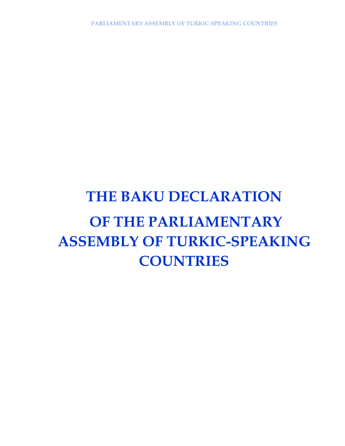## **THE BAKU DECLARATION OF THE PARLIAMENTARY ASSEMBLY OF TURKIC-SPEAKING COUNTRIES**